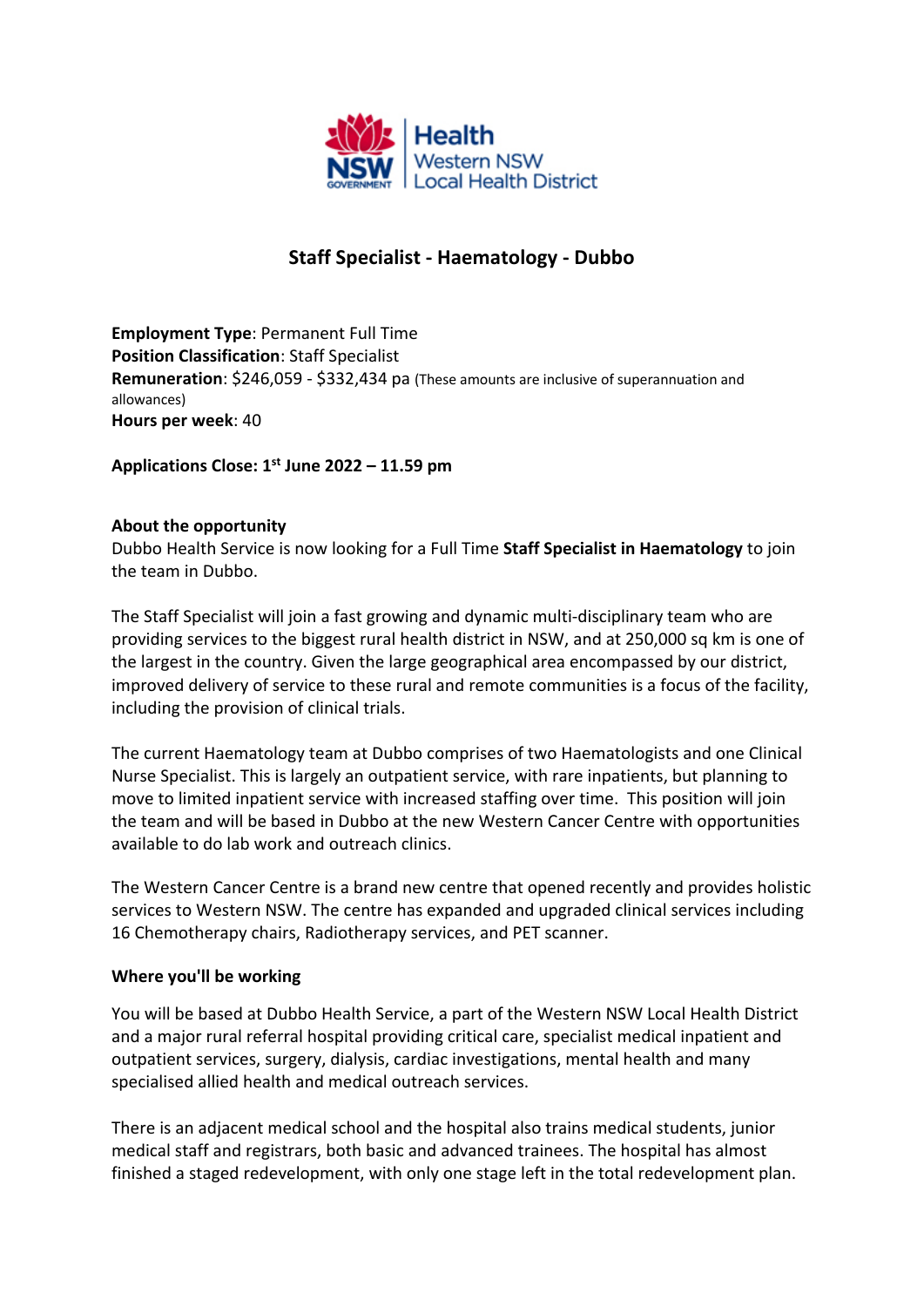

# **Staff Specialist - Haematology - Dubbo**

**Employment Type**: Permanent Full Time **Position Classification**: Staff Specialist **Remuneration**: \$246,059 - \$332,434 pa (These amounts are inclusive of superannuation and allowances) **Hours per week**: 40

**Applications Close: 1st June 2022 – 11.59 pm**

### **About the opportunity**

Dubbo Health Service is now looking for a Full Time **Staff Specialist in Haematology** to join the team in Dubbo.

The Staff Specialist will join a fast growing and dynamic multi-disciplinary team who are providing services to the biggest rural health district in NSW, and at 250,000 sq km is one of the largest in the country. Given the large geographical area encompassed by our district, improved delivery of service to these rural and remote communities is a focus of the facility, including the provision of clinical trials.

The current Haematology team at Dubbo comprises of two Haematologists and one Clinical Nurse Specialist. This is largely an outpatient service, with rare inpatients, but planning to move to limited inpatient service with increased staffing over time. This position will join the team and will be based in Dubbo at the new Western Cancer Centre with opportunities available to do lab work and outreach clinics.

The Western Cancer Centre is a brand new centre that opened recently and provides holistic services to Western NSW. The centre has expanded and upgraded clinical services including 16 Chemotherapy chairs, Radiotherapy services, and PET scanner.

### **Where you'll be working**

You will be based at Dubbo Health Service, a part of the Western NSW Local Health District and a major rural referral hospital providing critical care, specialist medical inpatient and outpatient services, surgery, dialysis, cardiac investigations, mental health and many specialised allied health and medical outreach services.

There is an adjacent medical school and the hospital also trains medical students, junior medical staff and registrars, both basic and advanced trainees. The hospital has almost finished a staged redevelopment, with only one stage left in the total redevelopment plan.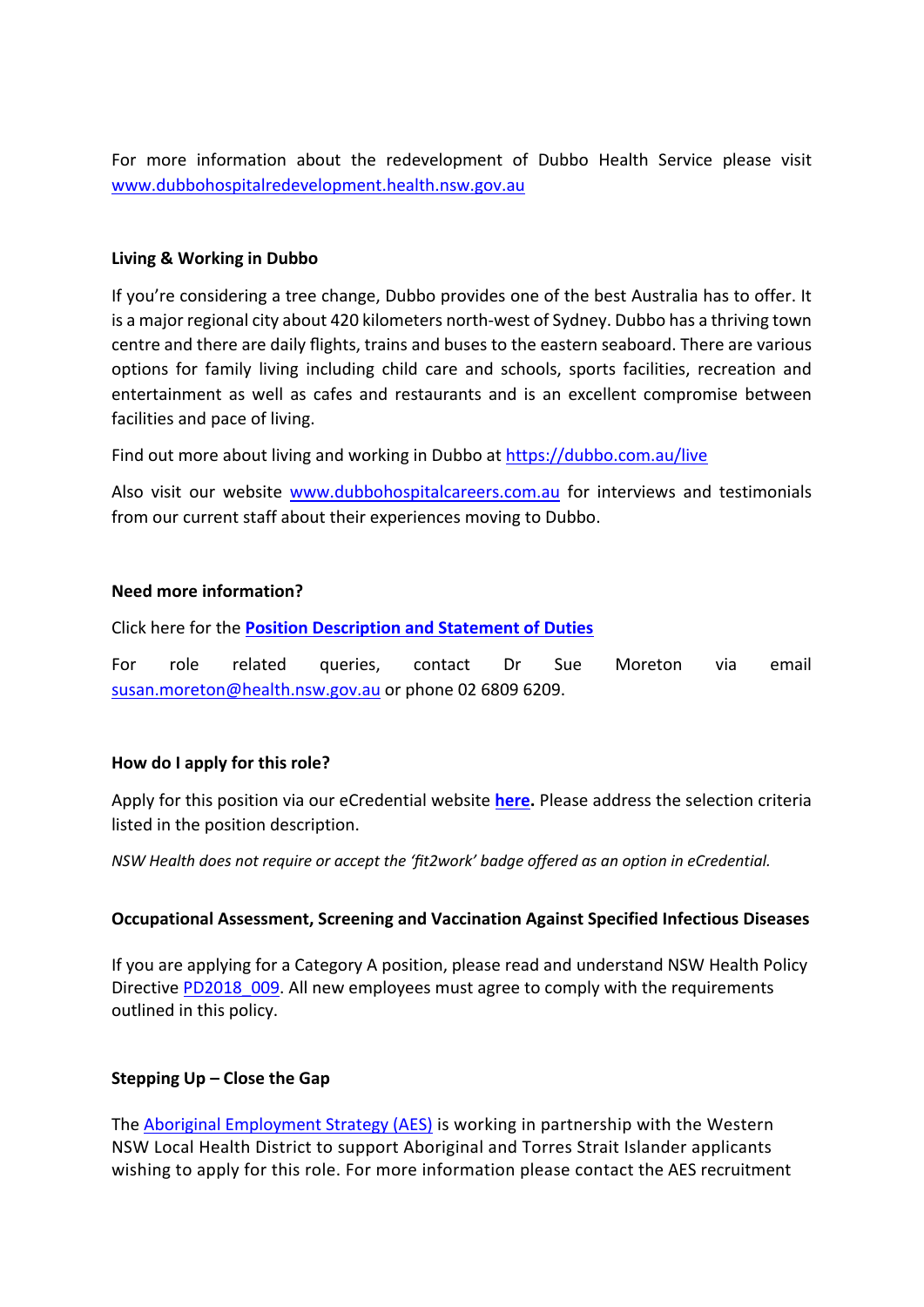For more information about the redevelopment of Dubbo Health Service please visit www.dubbohospitalredevelopment.health.nsw.gov.au

#### **Living & Working in Dubbo**

If you're considering a tree change, Dubbo provides one of the best Australia has to offer. It is a major regional city about 420 kilometers north-west of Sydney. Dubbo has a thriving town centre and there are daily flights, trains and buses to the eastern seaboard. There are various options for family living including child care and schools, sports facilities, recreation and entertainment as well as cafes and restaurants and is an excellent compromise between facilities and pace of living.

Find out more about living and working in Dubbo at https://dubbo.com.au/live

Also visit our website www.dubbohospitalcareers.com.au for interviews and testimonials from our current staff about their experiences moving to Dubbo.

### **Need more information?**

Click here for the **Position Description and Statement of Duties**

For role related queries, contact Dr Sue Moreton via email susan.moreton@health.nsw.gov.au or phone 02 6809 6209.

### **How do I apply for this role?**

Apply for this position via our eCredential website **here.** Please address the selection criteria listed in the position description.

*NSW Health does not require or accept the 'fit2work' badge offered as an option in eCredential.* 

### **Occupational Assessment, Screening and Vaccination Against Specified Infectious Diseases**

If you are applying for a Category A position, please read and understand NSW Health Policy Directive PD2018 009. All new employees must agree to comply with the requirements outlined in this policy.

### **Stepping Up – Close the Gap**

The Aboriginal Employment Strategy (AES) is working in partnership with the Western NSW Local Health District to support Aboriginal and Torres Strait Islander applicants wishing to apply for this role. For more information please contact the AES recruitment